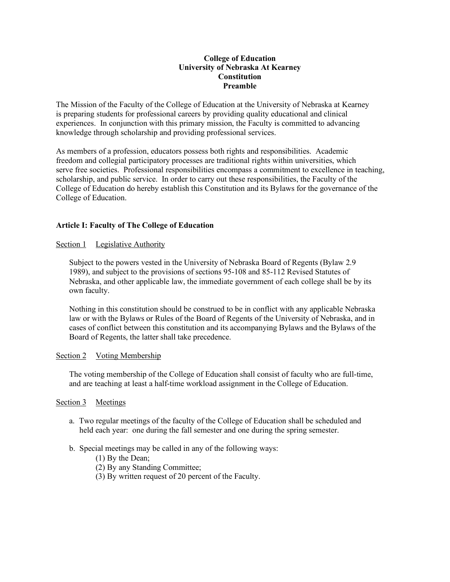# **College of Education University of Nebraska At Kearney Constitution Preamble**

The Mission of the Faculty of the College of Education at the University of Nebraska at Kearney is preparing students for professional careers by providing quality educational and clinical experiences. In conjunction with this primary mission, the Faculty is committed to advancing knowledge through scholarship and providing professional services.

As members of a profession, educators possess both rights and responsibilities. Academic freedom and collegial participatory processes are traditional rights within universities, which serve free societies. Professional responsibilities encompass a commitment to excellence in teaching, scholarship, and public service. In order to carry out these responsibilities, the Faculty of the College of Education do hereby establish this Constitution and its Bylaws for the governance of the College of Education.

# **Article I: Faculty of The College of Education**

# Section 1 Legislative Authority

Subject to the powers vested in the University of Nebraska Board of Regents (Bylaw 2.9 1989), and subject to the provisions of sections 95-108 and 85-112 Revised Statutes of Nebraska, and other applicable law, the immediate government of each college shall be by its own faculty.

Nothing in this constitution should be construed to be in conflict with any applicable Nebraska law or with the Bylaws or Rules of the Board of Regents of the University of Nebraska, and in cases of conflict between this constitution and its accompanying Bylaws and the Bylaws of the Board of Regents, the latter shall take precedence.

# Section 2 Voting Membership

The voting membership of the College of Education shall consist of faculty who are full-time, and are teaching at least a half-time workload assignment in the College of Education.

# Section 3 Meetings

a. Two regular meetings of the faculty of the College of Education shall be scheduled and held each year: one during the fall semester and one during the spring semester.

# b. Special meetings may be called in any of the following ways:

- (1) By the Dean;
- (2) By any Standing Committee;
- (3) By written request of 20 percent of the Faculty.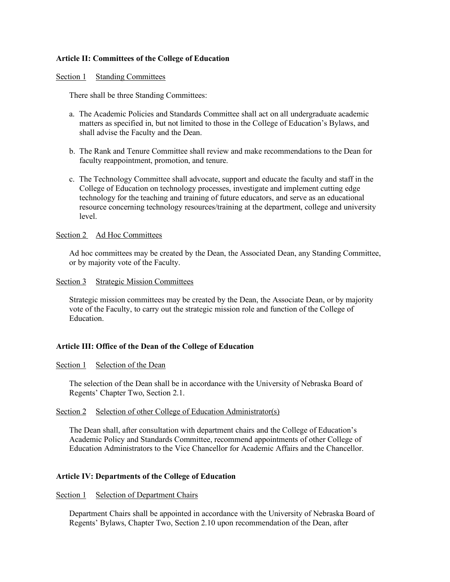# **Article II: Committees of the College of Education**

# Section 1 Standing Committees

There shall be three Standing Committees:

- a. The Academic Policies and Standards Committee shall act on all undergraduate academic matters as specified in, but not limited to those in the College of Education's Bylaws, and shall advise the Faculty and the Dean.
- b. The Rank and Tenure Committee shall review and make recommendations to the Dean for faculty reappointment, promotion, and tenure.
- c. The Technology Committee shall advocate, support and educate the faculty and staff in the College of Education on technology processes, investigate and implement cutting edge technology for the teaching and training of future educators, and serve as an educational resource concerning technology resources/training at the department, college and university level.

## Section 2 Ad Hoc Committees

Ad hoc committees may be created by the Dean, the Associated Dean, any Standing Committee, or by majority vote of the Faculty.

## Section 3 Strategic Mission Committees

Strategic mission committees may be created by the Dean, the Associate Dean, or by majority vote of the Faculty, to carry out the strategic mission role and function of the College of Education.

# **Article III: Office of the Dean of the College of Education**

#### Section 1 Selection of the Dean

The selection of the Dean shall be in accordance with the University of Nebraska Board of Regents' Chapter Two, Section 2.1.

#### Section 2 Selection of other College of Education Administrator(s)

The Dean shall, after consultation with department chairs and the College of Education's Academic Policy and Standards Committee, recommend appointments of other College of Education Administrators to the Vice Chancellor for Academic Affairs and the Chancellor.

#### **Article IV: Departments of the College of Education**

#### Section 1 Selection of Department Chairs

Department Chairs shall be appointed in accordance with the University of Nebraska Board of Regents' Bylaws, Chapter Two, Section 2.10 upon recommendation of the Dean, after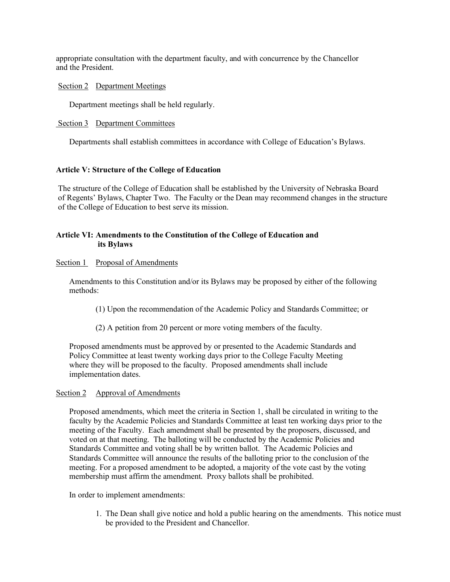appropriate consultation with the department faculty, and with concurrence by the Chancellor and the President.

Section 2 Department Meetings

Department meetings shall be held regularly.

## Section 3 Department Committees

Departments shall establish committees in accordance with College of Education's Bylaws.

# **Article V: Structure of the College of Education**

The structure of the College of Education shall be established by the University of Nebraska Board of Regents' Bylaws, Chapter Two. The Faculty or the Dean may recommend changes in the structure of the College of Education to best serve its mission.

# **Article VI: Amendments to the Constitution of the College of Education and its Bylaws**

## Section 1 Proposal of Amendments

Amendments to this Constitution and/or its Bylaws may be proposed by either of the following methods:

(1) Upon the recommendation of the Academic Policy and Standards Committee; or

(2) A petition from 20 percent or more voting members of the faculty.

Proposed amendments must be approved by or presented to the Academic Standards and Policy Committee at least twenty working days prior to the College Faculty Meeting where they will be proposed to the faculty. Proposed amendments shall include implementation dates.

#### Section 2 Approval of Amendments

Proposed amendments, which meet the criteria in Section 1, shall be circulated in writing to the faculty by the Academic Policies and Standards Committee at least ten working days prior to the meeting of the Faculty. Each amendment shall be presented by the proposers, discussed, and voted on at that meeting. The balloting will be conducted by the Academic Policies and Standards Committee and voting shall be by written ballot. The Academic Policies and Standards Committee will announce the results of the balloting prior to the conclusion of the meeting. For a proposed amendment to be adopted, a majority of the vote cast by the voting membership must affirm the amendment. Proxy ballots shall be prohibited.

In order to implement amendments:

1. The Dean shall give notice and hold a public hearing on the amendments. This notice must be provided to the President and Chancellor.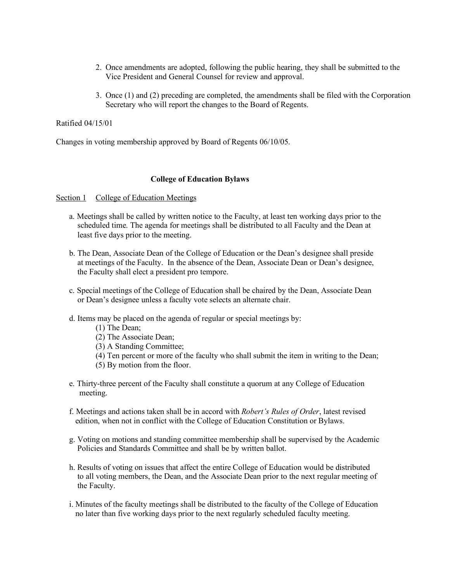- 2. Once amendments are adopted, following the public hearing, they shall be submitted to the Vice President and General Counsel for review and approval.
- 3. Once (1) and (2) preceding are completed, the amendments shall be filed with the Corporation Secretary who will report the changes to the Board of Regents.

#### Ratified 04/15/01

Changes in voting membership approved by Board of Regents 06/10/05.

## **College of Education Bylaws**

#### Section 1 College of Education Meetings

- a. Meetings shall be called by written notice to the Faculty, at least ten working days prior to the scheduled time. The agenda for meetings shall be distributed to all Faculty and the Dean at least five days prior to the meeting.
- b. The Dean, Associate Dean of the College of Education or the Dean's designee shall preside at meetings of the Faculty. In the absence of the Dean, Associate Dean or Dean's designee, the Faculty shall elect a president pro tempore.
- c. Special meetings of the College of Education shall be chaired by the Dean, Associate Dean or Dean's designee unless a faculty vote selects an alternate chair.
- d. Items may be placed on the agenda of regular or special meetings by:
	- (1) The Dean;
	- (2) The Associate Dean;
	- (3) A Standing Committee;
	- (4) Ten percent or more of the faculty who shall submit the item in writing to the Dean;
	- (5) By motion from the floor.
- e. Thirty-three percent of the Faculty shall constitute a quorum at any College of Education meeting.
- f. Meetings and actions taken shall be in accord with *Robert's Rules of Order*, latest revised edition, when not in conflict with the College of Education Constitution or Bylaws.
- g. Voting on motions and standing committee membership shall be supervised by the Academic Policies and Standards Committee and shall be by written ballot.
- h. Results of voting on issues that affect the entire College of Education would be distributed to all voting members, the Dean, and the Associate Dean prior to the next regular meeting of the Faculty.
- i. Minutes of the faculty meetings shall be distributed to the faculty of the College of Education no later than five working days prior to the next regularly scheduled faculty meeting.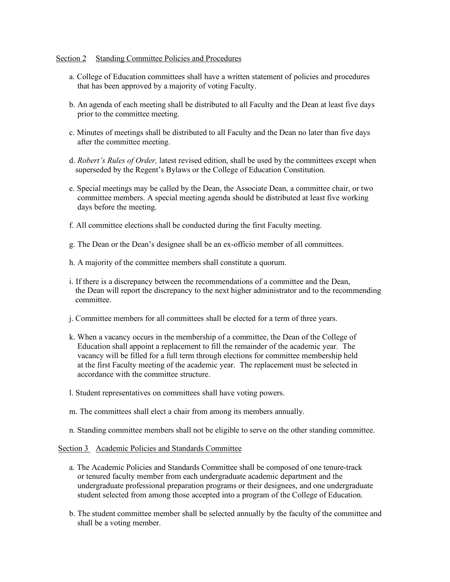## Section 2 Standing Committee Policies and Procedures

- a. College of Education committees shall have a written statement of policies and procedures that has been approved by a majority of voting Faculty.
- b. An agenda of each meeting shall be distributed to all Faculty and the Dean at least five days prior to the committee meeting.
- c. Minutes of meetings shall be distributed to all Faculty and the Dean no later than five days after the committee meeting.
- d. *Robert's Rules of Order,* latest revised edition, shall be used by the committees except when superseded by the Regent's Bylaws or the College of Education Constitution.
- e. Special meetings may be called by the Dean, the Associate Dean, a committee chair, or two committee members. A special meeting agenda should be distributed at least five working days before the meeting.
- f. All committee elections shall be conducted during the first Faculty meeting.
- g. The Dean or the Dean's designee shall be an ex-officio member of all committees.
- h. A majority of the committee members shall constitute a quorum.
- i. If there is a discrepancy between the recommendations of a committee and the Dean, the Dean will report the discrepancy to the next higher administrator and to the recommending committee.
- j. Committee members for all committees shall be elected for a term of three years.
- k. When a vacancy occurs in the membership of a committee, the Dean of the College of Education shall appoint a replacement to fill the remainder of the academic year. The vacancy will be filled for a full term through elections for committee membership held at the first Faculty meeting of the academic year. The replacement must be selected in accordance with the committee structure.
- l. Student representatives on committees shall have voting powers.
- m. The committees shall elect a chair from among its members annually.
- n. Standing committee members shall not be eligible to serve on the other standing committee.

## Section 3 Academic Policies and Standards Committee

- a. The Academic Policies and Standards Committee shall be composed of one tenure-track or tenured faculty member from each undergraduate academic department and the undergraduate professional preparation programs or their designees, and one undergraduate student selected from among those accepted into a program of the College of Education.
- b. The student committee member shall be selected annually by the faculty of the committee and shall be a voting member.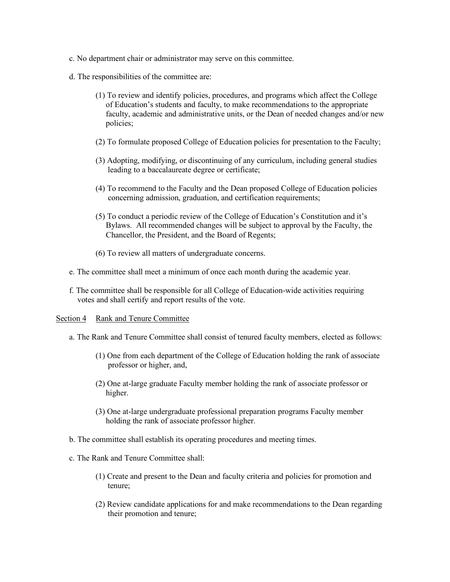- c. No department chair or administrator may serve on this committee.
- d. The responsibilities of the committee are:
	- (1) To review and identify policies, procedures, and programs which affect the College of Education's students and faculty, to make recommendations to the appropriate faculty, academic and administrative units, or the Dean of needed changes and/or new policies;
	- (2) To formulate proposed College of Education policies for presentation to the Faculty;
	- (3) Adopting, modifying, or discontinuing of any curriculum, including general studies leading to a baccalaureate degree or certificate;
	- (4) To recommend to the Faculty and the Dean proposed College of Education policies concerning admission, graduation, and certification requirements;
	- (5) To conduct a periodic review of the College of Education's Constitution and it's Bylaws. All recommended changes will be subject to approval by the Faculty, the Chancellor, the President, and the Board of Regents;
	- (6) To review all matters of undergraduate concerns.
- e. The committee shall meet a minimum of once each month during the academic year.
- f. The committee shall be responsible for all College of Education-wide activities requiring votes and shall certify and report results of the vote.

## Section 4 Rank and Tenure Committee

- a. The Rank and Tenure Committee shall consist of tenured faculty members, elected as follows:
	- (1) One from each department of the College of Education holding the rank of associate professor or higher, and,
	- (2) One at-large graduate Faculty member holding the rank of associate professor or higher.
	- (3) One at-large undergraduate professional preparation programs Faculty member holding the rank of associate professor higher.
- b. The committee shall establish its operating procedures and meeting times.
- c. The Rank and Tenure Committee shall:
	- (1) Create and present to the Dean and faculty criteria and policies for promotion and tenure;
	- (2) Review candidate applications for and make recommendations to the Dean regarding their promotion and tenure;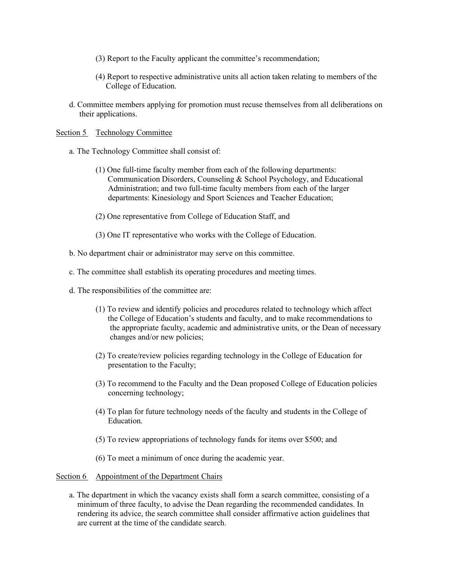- (3) Report to the Faculty applicant the committee's recommendation;
- (4) Report to respective administrative units all action taken relating to members of the College of Education.
- d. Committee members applying for promotion must recuse themselves from all deliberations on their applications.

#### Section 5 Technology Committee

- a. The Technology Committee shall consist of:
	- (1) One full-time faculty member from each of the following departments: Communication Disorders, Counseling & School Psychology, and Educational Administration; and two full-time faculty members from each of the larger departments: Kinesiology and Sport Sciences and Teacher Education;
	- (2) One representative from College of Education Staff, and
	- (3) One IT representative who works with the College of Education.
- b. No department chair or administrator may serve on this committee.
- c. The committee shall establish its operating procedures and meeting times.
- d. The responsibilities of the committee are:
	- (1) To review and identify policies and procedures related to technology which affect the College of Education's students and faculty, and to make recommendations to the appropriate faculty, academic and administrative units, or the Dean of necessary changes and/or new policies;
	- (2) To create/review policies regarding technology in the College of Education for presentation to the Faculty;
	- (3) To recommend to the Faculty and the Dean proposed College of Education policies concerning technology;
	- (4) To plan for future technology needs of the faculty and students in the College of Education.
	- (5) To review appropriations of technology funds for items over \$500; and
	- (6) To meet a minimum of once during the academic year.

#### Section 6 Appointment of the Department Chairs

a. The department in which the vacancy exists shall form a search committee, consisting of a minimum of three faculty, to advise the Dean regarding the recommended candidates. In rendering its advice, the search committee shall consider affirmative action guidelines that are current at the time of the candidate search.